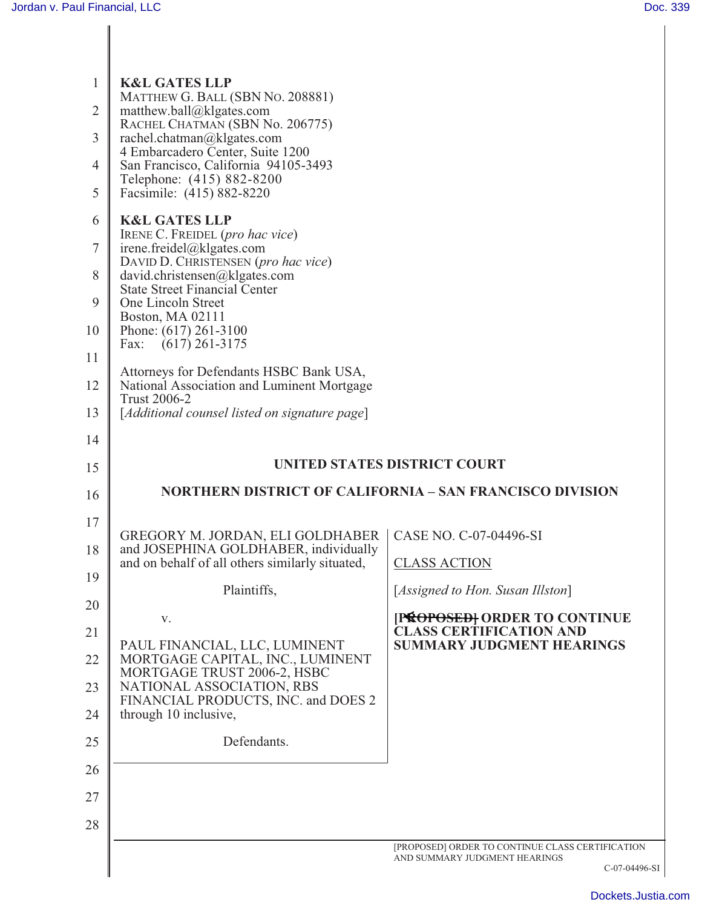| $\mathbf{1}$<br>$\overline{2}$<br>3<br>4<br>5 | <b>K&amp;L GATES LLP</b><br>MATTHEW G. BALL (SBN No. 208881)<br>matthew.ball@klgates.com<br>RACHEL CHATMAN (SBN No. 206775)<br>rachel.chatman@klgates.com<br>4 Embarcadero Center, Suite 1200<br>San Francisco, California 94105-3493<br>Telephone: (415) 882-8200<br>Facsimile: (415) 882-8220 |                                                                 |
|-----------------------------------------------|-------------------------------------------------------------------------------------------------------------------------------------------------------------------------------------------------------------------------------------------------------------------------------------------------|-----------------------------------------------------------------|
| 6                                             | <b>K&amp;L GATES LLP</b>                                                                                                                                                                                                                                                                        |                                                                 |
| $\tau$                                        | IRENE C. FREIDEL (pro hac vice)<br>irene.freidel@klgates.com<br>DAVID D. CHRISTENSEN (pro hac vice)                                                                                                                                                                                             |                                                                 |
| 8                                             | david.christensen@klgates.com<br><b>State Street Financial Center</b>                                                                                                                                                                                                                           |                                                                 |
| 9                                             | One Lincoln Street<br>Boston, MA 02111                                                                                                                                                                                                                                                          |                                                                 |
| 10                                            | Phone: (617) 261-3100<br>$(617)$ 261-3175<br>Fax:                                                                                                                                                                                                                                               |                                                                 |
| 11                                            | Attorneys for Defendants HSBC Bank USA,                                                                                                                                                                                                                                                         |                                                                 |
| 12                                            | National Association and Luminent Mortgage<br><b>Trust 2006-2</b>                                                                                                                                                                                                                               |                                                                 |
| 13                                            | [Additional counsel listed on signature page]                                                                                                                                                                                                                                                   |                                                                 |
| 14<br>15                                      |                                                                                                                                                                                                                                                                                                 | UNITED STATES DISTRICT COURT                                    |
| 16                                            |                                                                                                                                                                                                                                                                                                 | <b>NORTHERN DISTRICT OF CALIFORNIA – SAN FRANCISCO DIVISION</b> |
|                                               |                                                                                                                                                                                                                                                                                                 |                                                                 |
|                                               |                                                                                                                                                                                                                                                                                                 |                                                                 |
| 17                                            | GREGORY M. JORDAN, ELI GOLDHABER                                                                                                                                                                                                                                                                | CASE NO. C-07-04496-SI                                          |
| 18                                            | and JOSEPHINA GOLDHABER, individually<br>and on behalf of all others similarly situated,                                                                                                                                                                                                        | <b>CLASS ACTION</b>                                             |
| 19                                            | Plaintiffs,                                                                                                                                                                                                                                                                                     | [Assigned to Hon. Susan Illston]                                |
| 20                                            | V.                                                                                                                                                                                                                                                                                              | [PROPOSED] ORDER TO CONTINUE<br><b>CLASS CERTIFICATION AND</b>  |
| 21<br>22                                      | PAUL FINANCIAL, LLC, LUMINENT<br>MORTGAGE CAPITAL, INC., LUMINENT                                                                                                                                                                                                                               | <b>SUMMARY JUDGMENT HEARINGS</b>                                |
| 23                                            | MORTGAGE TRUST 2006-2, HSBC<br>NATIONAL ASSOCIATION, RBS                                                                                                                                                                                                                                        |                                                                 |
| 24                                            | FINANCIAL PRODUCTS, INC. and DOES 2<br>through 10 inclusive,                                                                                                                                                                                                                                    |                                                                 |
| 25                                            | Defendants.                                                                                                                                                                                                                                                                                     |                                                                 |
| 26                                            |                                                                                                                                                                                                                                                                                                 |                                                                 |
| 27                                            |                                                                                                                                                                                                                                                                                                 |                                                                 |
| 28                                            |                                                                                                                                                                                                                                                                                                 |                                                                 |